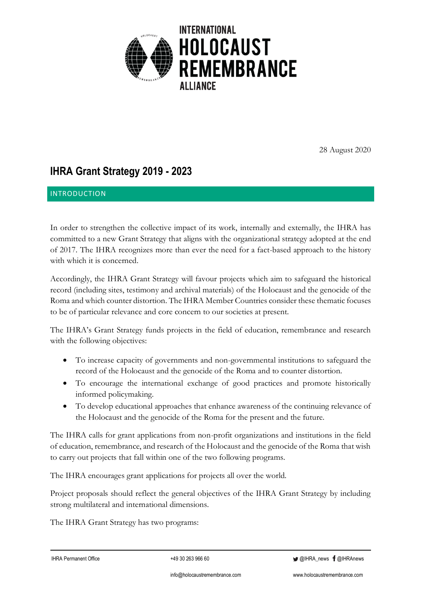

28 August 2020

# **IHRA Grant Strategy 2019 - 2023**

# INTRODUCTION

In order to strengthen the collective impact of its work, internally and externally, the IHRA has committed to a new Grant Strategy that aligns with the organizational strategy adopted at the end of 2017. The IHRA recognizes more than ever the need for a fact-based approach to the history with which it is concerned.

Accordingly, the IHRA Grant Strategy will favour projects which aim to safeguard the historical record (including sites, testimony and archival materials) of the Holocaust and the genocide of the Roma and which counter distortion. The IHRA Member Countries consider these thematic focuses to be of particular relevance and core concern to our societies at present.

The IHRA's Grant Strategy funds projects in the field of education, remembrance and research with the following objectives:

- To increase capacity of governments and non-governmental institutions to safeguard the record of the Holocaust and the genocide of the Roma and to counter distortion.
- To encourage the international exchange of good practices and promote historically informed policymaking.
- To develop educational approaches that enhance awareness of the continuing relevance of the Holocaust and the genocide of the Roma for the present and the future.

The IHRA calls for grant applications from non-profit organizations and institutions in the field of education, remembrance, and research of the Holocaust and the genocide of the Roma that wish to carry out projects that fall within one of the two following programs.

The IHRA encourages grant applications for projects all over the world.

Project proposals should reflect the general objectives of the IHRA Grant Strategy by including strong multilateral and international dimensions.

The IHRA Grant Strategy has two programs:

**OIHRA\_news f** @IHRAnews

info@holocaustremembrance.com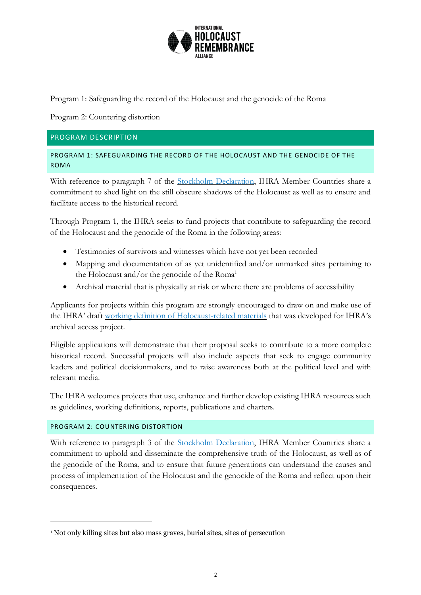

Program 1: Safeguarding the record of the Holocaust and the genocide of the Roma

Program 2: Countering distortion

## PROGRAM DESCRIPTION

PROGRAM 1: SAFEGUARDING THE RECORD OF THE HOLOCAUST AND THE GENOCIDE OF THE ROMA

With reference to paragraph 7 of the [Stockholm Declaration,](https://holocaustremembrance.com/stockholm-declaration) IHRA Member Countries share a commitment to shed light on the still obscure shadows of the Holocaust as well as to ensure and facilitate access to the historical record.

Through Program 1, the IHRA seeks to fund projects that contribute to safeguarding the record of the Holocaust and the genocide of the Roma in the following areas:

- Testimonies of survivors and witnesses which have not yet been recorded
- Mapping and documentation of as yet unidentified and/or unmarked sites pertaining to the Holocaust and/or the genocide of the  $Roma<sup>1</sup>$
- Archival material that is physically at risk or where there are problems of accessibility

Applicants for projects within this program are strongly encouraged to draw on and make use of the IHRA' draft [working definition of Holocaust-related materials](https://www.holocaustremembrance.com/node/532) that was developed for IHRA's archival access project.

Eligible applications will demonstrate that their proposal seeks to contribute to a more complete historical record. Successful projects will also include aspects that seek to engage community leaders and political decisionmakers, and to raise awareness both at the political level and with relevant media.

The IHRA welcomes projects that use, enhance and further develop existing IHRA resources such as guidelines, working definitions, reports, publications and charters.

## PROGRAM 2: COUNTERING DISTORTION

With reference to paragraph 3 of the [Stockholm Declaration,](https://www.holocaustremembrance.com/stockholm-declaration) IHRA Member Countries share a commitment to uphold and disseminate the comprehensive truth of the Holocaust, as well as of the genocide of the Roma, and to ensure that future generations can understand the causes and process of implementation of the Holocaust and the genocide of the Roma and reflect upon their consequences.

<sup>1</sup> Not only killing sites but also mass graves, burial sites, sites of persecution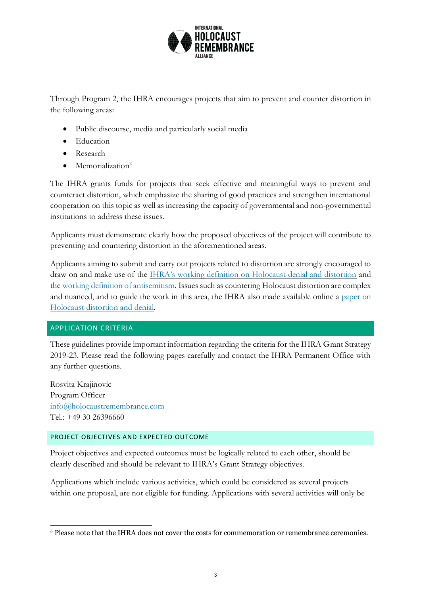

Through Program 2, the IHRA encourages projects that aim to prevent and counter distortion in the following areas:

- Public discourse, media and particularly social media
- Education
- Research
- Memorialization<sup>2</sup>

The IHRA grants funds for projects that seek effective and meaningful ways to prevent and counteract distortion, which emphasize the sharing of good practices and strengthen international cooperation on this topic as well as increasing the capacity of governmental and non-governmental institutions to address these issues.

Applicants must demonstrate clearly how the proposed objectives of the project will contribute to preventing and countering distortion in the aforementioned areas.

Applicants aiming to submit and carry out projects related to distortion are strongly encouraged to draw on and make use of the [IHRA's working definition on Holocaust denial and distortion](https://www.holocaustremembrance.com/working-definition-holocaust-denial-and-distortion) and the [working definition of antisemitism.](https://www.holocaustremembrance.com/node/196) Issues such as countering Holocaust distortion are complex and nuanced, and to guide the work in this area, the IHRA also made available online a [paper on](https://holocaustremembrance.com/sites/default/files/inline-files/Paper%20on%20Distortion_0.pdf)  [Holocaust distortion and denial.](https://holocaustremembrance.com/sites/default/files/inline-files/Paper%20on%20Distortion_0.pdf)

# APPLICATION CRITERIA

These guidelines provide important information regarding the criteria for the IHRA Grant Strategy 2019-23. Please read the following pages carefully and contact the IHRA Permanent Office with any further questions.

Rosvita Krajinovic Program Officer [info@holocaustremembrance.com](mailto:info@holocaustremembrance.com)  $Tel \cdot +493026396660$ 

## PROJECT OBJECTIVES AND EXPECTED OUTCOME

Project objectives and expected outcomes must be logically related to each other, should be clearly described and should be relevant to IHRA's Grant Strategy objectives.

Applications which include various activities, which could be considered as several projects within one proposal, are not eligible for funding. Applications with several activities will only be

<sup>2</sup> Please note that the IHRA does not cover the costs for commemoration or remembrance ceremonies.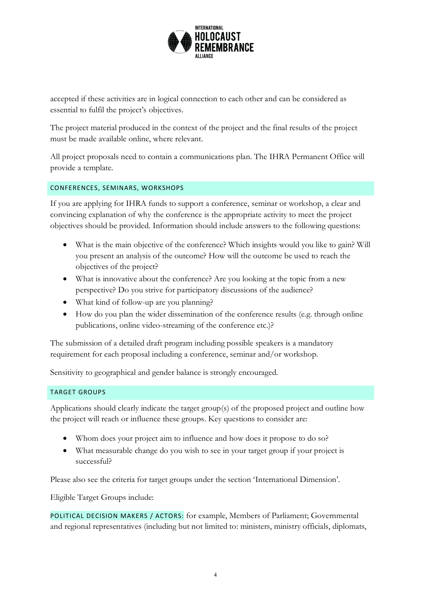

accepted if these activities are in logical connection to each other and can be considered as essential to fulfil the project's objectives.

The project material produced in the context of the project and the final results of the project must be made available online, where relevant.

All project proposals need to contain a communications plan. The IHRA Permanent Office will provide a template.

## CONFERENCES, SEMINARS, WORKSHOPS

If you are applying for IHRA funds to support a conference, seminar or workshop, a clear and convincing explanation of why the conference is the appropriate activity to meet the project objectives should be provided. Information should include answers to the following questions:

- What is the main objective of the conference? Which insights would you like to gain? Will you present an analysis of the outcome? How will the outcome be used to reach the objectives of the project?
- What is innovative about the conference? Are you looking at the topic from a new perspective? Do you strive for participatory discussions of the audience?
- What kind of follow-up are you planning?
- How do you plan the wider dissemination of the conference results (e.g. through online publications, online video-streaming of the conference etc.)?

The submission of a detailed draft program including possible speakers is a mandatory requirement for each proposal including a conference, seminar and/or workshop.

Sensitivity to geographical and gender balance is strongly encouraged.

## TARGET GROUPS

Applications should clearly indicate the target group(s) of the proposed project and outline how the project will reach or influence these groups. Key questions to consider are:

- Whom does your project aim to influence and how does it propose to do so?
- What measurable change do you wish to see in your target group if your project is successful?

Please also see the criteria for target groups under the section 'International Dimension'.

Eligible Target Groups include:

POLITICAL DECISION MAKERS / ACTORS: for example, Members of Parliament; Governmental and regional representatives (including but not limited to: ministers, ministry officials, diplomats,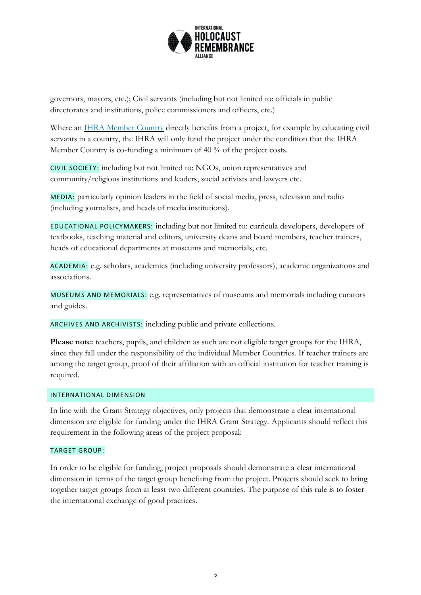

governors, mayors, etc.); Civil servants (including but not limited to: officials in public directorates and institutions, police commissioners and officers, etc.)

Where an [IHRA Member Country](https://www.holocaustremembrance.com/countries-and-membership) directly benefits from a project, for example by educating civil servants in a country, the IHRA will only fund the project under the condition that the IHRA Member Country is co-funding a minimum of 40 % of the project costs.

CIVIL SOCIETY: including but not limited to: NGOs, union representatives and community/religious institutions and leaders, social activists and lawyers etc.

MEDIA: particularly opinion leaders in the field of social media, press, television and radio (including journalists, and heads of media institutions).

EDUCATIONAL POLICYMAKERS: including but not limited to: curricula developers, developers of textbooks, teaching material and editors, university deans and board members, teacher trainers, heads of educational departments at museums and memorials, etc.

ACADEMIA: e.g. scholars, academics (including university professors), academic organizations and associations.

MUSEUMS AND MEMORIALS: e.g. representatives of museums and memorials including curators and guides.

ARCHIVES AND ARCHIVISTS: including public and private collections.

**Please note:** teachers, pupils, and children as such are not eligible target groups for the IHRA, since they fall under the responsibility of the individual Member Countries. If teacher trainers are among the target group, proof of their affiliation with an official institution for teacher training is required.

## INTERNATIONAL DIMENSION

In line with the Grant Strategy objectives, only projects that demonstrate a clear international dimension are eligible for funding under the IHRA Grant Strategy. Applicants should reflect this requirement in the following areas of the project proposal:

## TARGET GROUP:

In order to be eligible for funding, project proposals should demonstrate a clear international dimension in terms of the target group benefiting from the project. Projects should seek to bring together target groups from at least two different countries. The purpose of this rule is to foster the international exchange of good practices.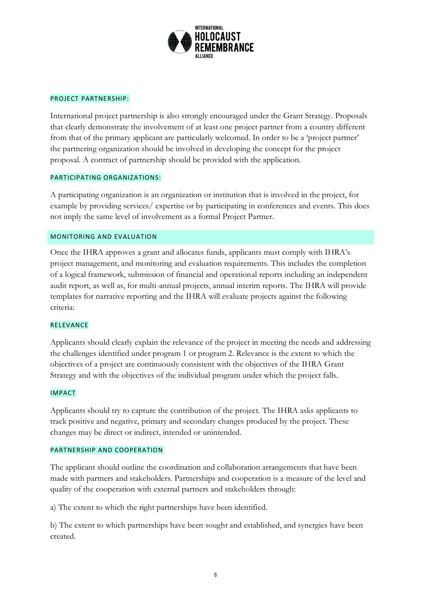

#### PROJECT PARTNERSHIP:

International project partnership is also strongly encouraged under the Grant Strategy. Proposals that clearly demonstrate the involvement of at least one project partner from a country different from that of the primary applicant are particularly welcomed. In order to be a 'project partner' the partnering organization should be involved in developing the concept for the project proposal. A contract of partnership should be provided with the application.

#### PARTICIPATING ORGANIZATIONS:

A participating organization is an organization or institution that is involved in the project, for example by providing services/ expertise or by participating in conferences and events. This does not imply the same level of involvement as a formal Project Partner.

## MONITORING AND EVALUATION

Once the IHRA approves a grant and allocates funds, applicants must comply with IHRA's project management, and monitoring and evaluation requirements. This includes the completion of a logical framework, submission of financial and operational reports including an independent audit report, as well as, for multi-annual projects, annual interim reports. The IHRA will provide templates for narrative reporting and the IHRA will evaluate projects against the following criteria:

#### RELEVANCE

Applicants should clearly explain the relevance of the project in meeting the needs and addressing the challenges identified under program 1 or program 2. Relevance is the extent to which the objectives of a project are continuously consistent with the objectives of the IHRA Grant Strategy and with the objectives of the individual program under which the project falls.

#### IMPACT

Applicants should try to capture the contribution of the project. The IHRA asks applicants to track positive and negative, primary and secondary changes produced by the project. These changes may be direct or indirect, intended or unintended.

#### PARTNERSHIP AND COOPERATION

The applicant should outline the coordination and collaboration arrangements that have been made with partners and stakeholders. Partnerships and cooperation is a measure of the level and quality of the cooperation with external partners and stakeholders through:

a) The extent to which the right partnerships have been identified.

b) The extent to which partnerships have been sought and established, and synergies have been created.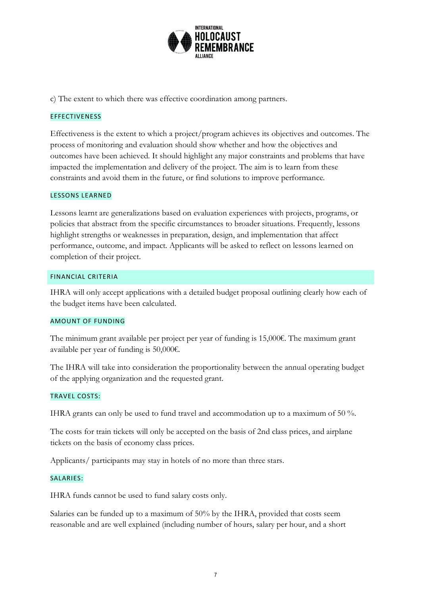

c) The extent to which there was effective coordination among partners.

## EFFECTIVENESS

Effectiveness is the extent to which a project/program achieves its objectives and outcomes. The process of monitoring and evaluation should show whether and how the objectives and outcomes have been achieved. It should highlight any major constraints and problems that have impacted the implementation and delivery of the project. The aim is to learn from these constraints and avoid them in the future, or find solutions to improve performance.

#### LESSONS LEARNED

Lessons learnt are generalizations based on evaluation experiences with projects, programs, or policies that abstract from the specific circumstances to broader situations. Frequently, lessons highlight strengths or weaknesses in preparation, design, and implementation that affect performance, outcome, and impact. Applicants will be asked to reflect on lessons learned on completion of their project.

#### FINANCIAL CRITERIA

IHRA will only accept applications with a detailed budget proposal outlining clearly how each of the budget items have been calculated.

#### AMOUNT OF FUNDING

The minimum grant available per project per year of funding is 15,000€. The maximum grant available per year of funding is 50,000€.

The IHRA will take into consideration the proportionality between the annual operating budget of the applying organization and the requested grant.

#### TRAVEL COSTS:

IHRA grants can only be used to fund travel and accommodation up to a maximum of 50 %.

The costs for train tickets will only be accepted on the basis of 2nd class prices, and airplane tickets on the basis of economy class prices.

Applicants/ participants may stay in hotels of no more than three stars.

#### SALARIES:

IHRA funds cannot be used to fund salary costs only.

Salaries can be funded up to a maximum of 50% by the IHRA, provided that costs seem reasonable and are well explained (including number of hours, salary per hour, and a short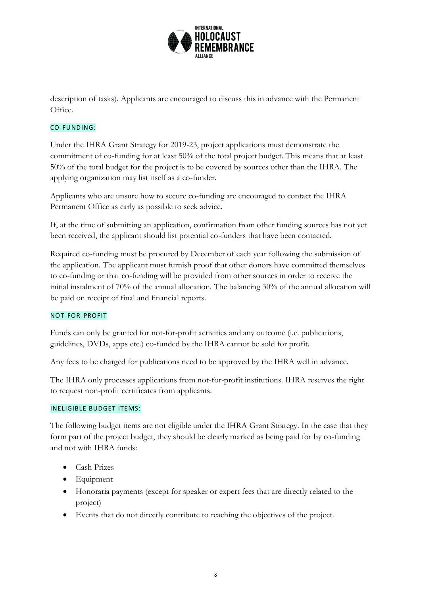

description of tasks). Applicants are encouraged to discuss this in advance with the Permanent Office.

## CO-FUNDING:

Under the IHRA Grant Strategy for 2019-23, project applications must demonstrate the commitment of co-funding for at least 50% of the total project budget. This means that at least 50% of the total budget for the project is to be covered by sources other than the IHRA. The applying organization may list itself as a co-funder.

Applicants who are unsure how to secure co-funding are encouraged to contact the IHRA Permanent Office as early as possible to seek advice.

If, at the time of submitting an application, confirmation from other funding sources has not yet been received, the applicant should list potential co-funders that have been contacted.

Required co-funding must be procured by December of each year following the submission of the application. The applicant must furnish proof that other donors have committed themselves to co-funding or that co-funding will be provided from other sources in order to receive the initial instalment of 70% of the annual allocation. The balancing 30% of the annual allocation will be paid on receipt of final and financial reports.

## NOT-FOR-PROFIT

Funds can only be granted for not-for-profit activities and any outcome (i.e. publications, guidelines, DVDs, apps etc.) co-funded by the IHRA cannot be sold for profit.

Any fees to be charged for publications need to be approved by the IHRA well in advance.

The IHRA only processes applications from not-for-profit institutions. IHRA reserves the right to request non-profit certificates from applicants.

## INELIGIBLE BUDGET ITEMS:

The following budget items are not eligible under the IHRA Grant Strategy. In the case that they form part of the project budget, they should be clearly marked as being paid for by co-funding and not with IHRA funds:

- Cash Prizes
- Equipment
- Honoraria payments (except for speaker or expert fees that are directly related to the project)
- Events that do not directly contribute to reaching the objectives of the project.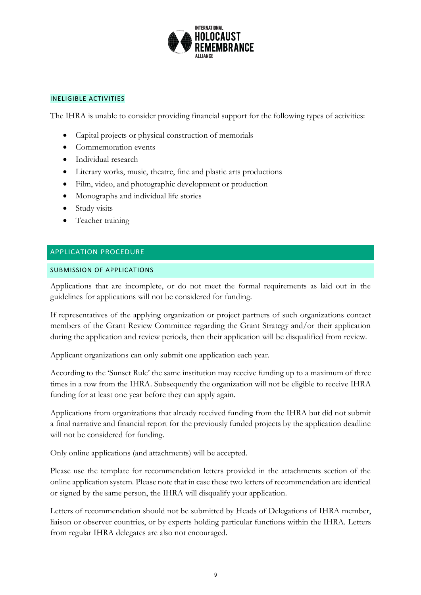

#### INELIGIBLE ACTIVITIES

The IHRA is unable to consider providing financial support for the following types of activities:

- Capital projects or physical construction of memorials
- Commemoration events
- Individual research
- Literary works, music, theatre, fine and plastic arts productions
- Film, video, and photographic development or production
- Monographs and individual life stories
- Study visits
- Teacher training

## APPLICATION PROCEDURE

## SUBMISSION OF APPLICATIONS

Applications that are incomplete, or do not meet the formal requirements as laid out in the guidelines for applications will not be considered for funding.

If representatives of the applying organization or project partners of such organizations contact members of the Grant Review Committee regarding the Grant Strategy and/or their application during the application and review periods, then their application will be disqualified from review.

Applicant organizations can only submit one application each year.

According to the 'Sunset Rule' the same institution may receive funding up to a maximum of three times in a row from the IHRA. Subsequently the organization will not be eligible to receive IHRA funding for at least one year before they can apply again.

Applications from organizations that already received funding from the IHRA but did not submit a final narrative and financial report for the previously funded projects by the application deadline will not be considered for funding.

Only online applications (and attachments) will be accepted.

Please use the template for recommendation letters provided in the attachments section of the online application system. Please note that in case these two letters of recommendation are identical or signed by the same person, the IHRA will disqualify your application.

Letters of recommendation should not be submitted by Heads of Delegations of IHRA member, liaison or observer countries, or by experts holding particular functions within the IHRA. Letters from regular IHRA delegates are also not encouraged.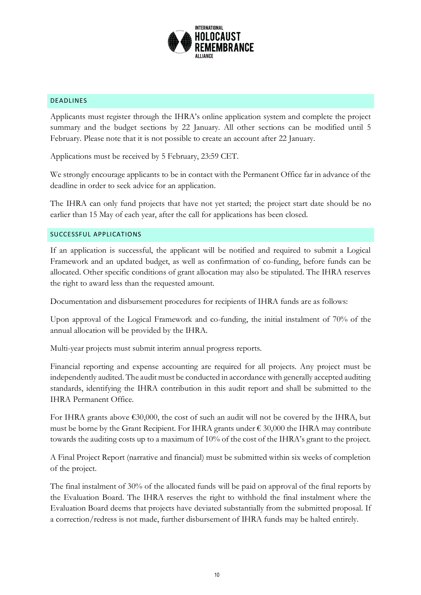

## DEADLINES

Applicants must register through the IHRA's online application system and complete the project summary and the budget sections by 22 January. All other sections can be modified until 5 February. Please note that it is not possible to create an account after 22 January.

Applications must be received by 5 February, 23:59 CET.

We strongly encourage applicants to be in contact with the Permanent Office far in advance of the deadline in order to seek advice for an application.

The IHRA can only fund projects that have not yet started; the project start date should be no earlier than 15 May of each year, after the call for applications has been closed.

## SUCCESSFUL APPLICATIONS

If an application is successful, the applicant will be notified and required to submit a Logical Framework and an updated budget, as well as confirmation of co-funding, before funds can be allocated. Other specific conditions of grant allocation may also be stipulated. The IHRA reserves the right to award less than the requested amount.

Documentation and disbursement procedures for recipients of IHRA funds are as follows:

Upon approval of the Logical Framework and co-funding, the initial instalment of 70% of the annual allocation will be provided by the IHRA.

Multi-year projects must submit interim annual progress reports.

Financial reporting and expense accounting are required for all projects. Any project must be independently audited. The audit must be conducted in accordance with generally accepted auditing standards, identifying the IHRA contribution in this audit report and shall be submitted to the IHRA Permanent Office.

For IHRA grants above  $\epsilon$ 30,000, the cost of such an audit will not be covered by the IHRA, but must be borne by the Grant Recipient. For IHRA grants under  $\epsilon$  30,000 the IHRA may contribute towards the auditing costs up to a maximum of 10% of the cost of the IHRA's grant to the project.

A Final Project Report (narrative and financial) must be submitted within six weeks of completion of the project.

The final instalment of 30% of the allocated funds will be paid on approval of the final reports by the Evaluation Board. The IHRA reserves the right to withhold the final instalment where the Evaluation Board deems that projects have deviated substantially from the submitted proposal. If a correction/redress is not made, further disbursement of IHRA funds may be halted entirely.